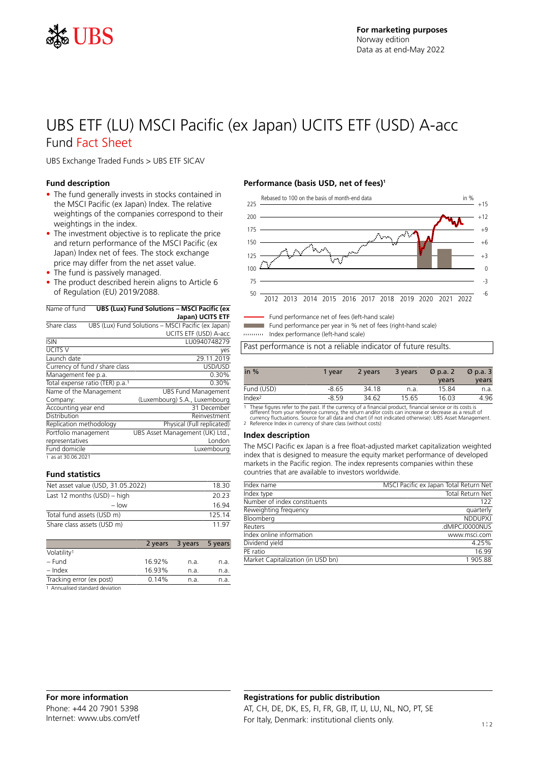

## UBS ETF (LU) MSCI Pacific (ex Japan) UCITS ETF (USD) A-acc Fund Fact Sheet

UBS Exchange Traded Funds > UBS ETF SICAV

#### **Fund description**

- The fund generally invests in stocks contained in the MSCI Pacific (ex Japan) Index. The relative weightings of the companies correspond to their weightings in the index.
- The investment objective is to replicate the price and return performance of the MSCI Pacific (ex Japan) Index net of fees. The stock exchange price may differ from the net asset value.
- The fund is passively managed.
- The product described herein aligns to Article 6 of Regulation (EU) 2019/2088.

| Name of fund            | UBS (Lux) Fund Solutions - MSCI Pacific (ex |                                                    |  |  |
|-------------------------|---------------------------------------------|----------------------------------------------------|--|--|
|                         |                                             | Japan) UCITS ETF                                   |  |  |
| Share class             |                                             | UBS (Lux) Fund Solutions - MSCI Pacific (ex Japan) |  |  |
|                         |                                             | UCITS ETF (USD) A-acc                              |  |  |
| <b>ISIN</b>             |                                             | LU0940748279                                       |  |  |
| UCITS V                 |                                             | yes                                                |  |  |
| Launch date             |                                             | 29.11.2019                                         |  |  |
|                         | Currency of fund / share class              | USD/USD                                            |  |  |
| Management fee p.a.     |                                             | 0.30%                                              |  |  |
|                         | Total expense ratio (TER) p.a. <sup>1</sup> | 0.30%                                              |  |  |
| Name of the Management  |                                             | <b>UBS Fund Management</b>                         |  |  |
| Company:                |                                             | (Luxembourg) S.A., Luxembourg                      |  |  |
| Accounting year end     |                                             | 31 December                                        |  |  |
| Distribution            |                                             | Reinvestment                                       |  |  |
| Replication methodology |                                             | Physical (Full replicated)                         |  |  |
| Portfolio management    |                                             | UBS Asset Management (UK) Ltd.,                    |  |  |
| representatives         |                                             | London                                             |  |  |
| Fund domicile           |                                             | Luxembourg                                         |  |  |
| 1 as at 30.06.2021      |                                             |                                                    |  |  |

#### **Fund statistics**

| Net asset value (USD, 31.05.2022) | 18.30  |
|-----------------------------------|--------|
| Last 12 months $(USD)$ – high     | 20.23  |
| $-$ low                           | 16 94  |
| Total fund assets (USD m)         | 125.14 |
| Share class assets (USD m)        | 11 97  |

|                                                        | 2 years | 3 years | 5 years |
|--------------------------------------------------------|---------|---------|---------|
| Volatility <sup>1</sup>                                |         |         |         |
| – Fund                                                 | 16.92%  | n.a.    | n.a.    |
| – Index                                                | 16.93%  | n.a.    | n.a.    |
| Tracking error (ex post)                               | 0.14%   | n.a.    | n.a.    |
| the company of the second control of the standard con- |         |         |         |

1 Annualised standard deviation

#### **Performance (basis USD, net of fees)<sup>1</sup>**



Fund performance net of fees (left-hand scale)

Fund performance per year in % net of fees (right-hand scale)

Index performance (left-hand scale)

Past performance is not a reliable indicator of future results.

| in $%$                                                                                                       | 1 vear | 2 years | 3 years | $\varnothing$ p.a. 2 | $\varnothing$ p.a. 3 |
|--------------------------------------------------------------------------------------------------------------|--------|---------|---------|----------------------|----------------------|
|                                                                                                              |        |         |         | vears                | years                |
| Fund (USD)                                                                                                   | -8.65  | 34.18   | n.a.    | 15.84                | n.a.                 |
| Index <sup>2</sup>                                                                                           | -8.59  | 34.62   | 15.65   | 16.03                | 4.96                 |
| 1. These flames estables the mast. If the american of a flame slat meadmat. Cannaist souther on its seats is |        |         |         |                      |                      |

1 These figures refer to the past. If the currency of a financial product, financial service or its costs is<br>different from your reference currency, the return and/or costs can increase or decrease as a result of<br>currency

#### **Index description**

The MSCI Pacific ex Japan is a free float-adjusted market capitalization weighted index that is designed to measure the equity market performance of developed markets in the Pacific region. The index represents companies within these countries that are available to investors worldwide.

| Index name                        | MSCI Pacific ex Japan Total Return Net |
|-----------------------------------|----------------------------------------|
| Index type                        | Total Return Net                       |
| Number of index constituents      | 122                                    |
| Reweighting frequency             | quarterly                              |
| Bloomberg                         | <b>NDDUPXI</b>                         |
| Reuters                           | .dMIPCJ0000NUS                         |
| Index online information          | www.msci.com                           |
| Dividend yield                    | 4.25%                                  |
| PE ratio                          | 16.99                                  |
| Market Capitalization (in USD bn) | 1905.88                                |
|                                   |                                        |

### **Registrations for public distribution** AT, CH, DE, DK, ES, FI, FR, GB, IT, LI, LU, NL, NO, PT, SE For Italy, Denmark: institutional clients only.